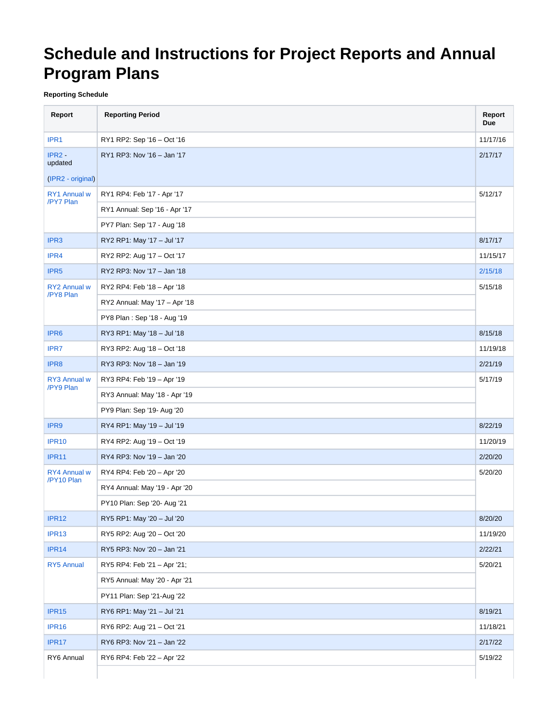# **Schedule and Instructions for Project Reports and Annual Program Plans**

## **Reporting Schedule**

| Report                                   | <b>Reporting Period</b>               | Report<br><b>Due</b> |  |  |  |  |  |  |  |  |  |  |
|------------------------------------------|---------------------------------------|----------------------|--|--|--|--|--|--|--|--|--|--|
| IPR1                                     | RY1 RP2: Sep '16 - Oct '16            | 11/17/16             |  |  |  |  |  |  |  |  |  |  |
| $IPR2 -$<br>updated<br>(IPR2 - original) | RY1 RP3: Nov '16 - Jan '17            | 2/17/17              |  |  |  |  |  |  |  |  |  |  |
| RY1 Annual w                             | RY1 RP4: Feb '17 - Apr '17            | 5/12/17              |  |  |  |  |  |  |  |  |  |  |
| /PY7 Plan                                | RY1 Annual: Sep '16 - Apr '17         |                      |  |  |  |  |  |  |  |  |  |  |
|                                          | PY7 Plan: Sep '17 - Aug '18           |                      |  |  |  |  |  |  |  |  |  |  |
| IPR <sub>3</sub>                         | RY2 RP1: May '17 - Jul '17            | 8/17/17              |  |  |  |  |  |  |  |  |  |  |
| IPR4                                     | RY2 RP2: Aug '17 - Oct '17            | 11/15/17             |  |  |  |  |  |  |  |  |  |  |
| IPR <sub>5</sub>                         | RY2 RP3: Nov '17 - Jan '18            | 2/15/18              |  |  |  |  |  |  |  |  |  |  |
| <b>RY2 Annual w</b>                      | RY2 RP4: Feb '18 - Apr '18            |                      |  |  |  |  |  |  |  |  |  |  |
| /PY8 Plan                                | RY2 Annual: May '17 - Apr '18         |                      |  |  |  |  |  |  |  |  |  |  |
|                                          | PY8 Plan: Sep '18 - Aug '19           |                      |  |  |  |  |  |  |  |  |  |  |
| IPR <sub>6</sub>                         | RY3 RP1: May '18 - Jul '18            | 8/15/18              |  |  |  |  |  |  |  |  |  |  |
| IPR7                                     | RY3 RP2: Aug '18 - Oct '18            | 11/19/18             |  |  |  |  |  |  |  |  |  |  |
| IPR8                                     | RY3 RP3: Nov '18 - Jan '19            | 2/21/19              |  |  |  |  |  |  |  |  |  |  |
| RY3 Annual w                             | RY3 RP4: Feb '19 - Apr '19<br>5/17/19 |                      |  |  |  |  |  |  |  |  |  |  |
| /PY9 Plan                                | RY3 Annual: May '18 - Apr '19         |                      |  |  |  |  |  |  |  |  |  |  |
|                                          | PY9 Plan: Sep '19- Aug '20            |                      |  |  |  |  |  |  |  |  |  |  |
| IPR <sub>9</sub>                         | RY4 RP1: May '19 - Jul '19            | 8/22/19              |  |  |  |  |  |  |  |  |  |  |
| <b>IPR10</b>                             | RY4 RP2: Aug '19 - Oct '19            | 11/20/19             |  |  |  |  |  |  |  |  |  |  |
| <b>IPR11</b>                             | RY4 RP3: Nov '19 - Jan '20            | 2/20/20              |  |  |  |  |  |  |  |  |  |  |
| <b>RY4 Annual w</b><br>/PY10 Plan        | RY4 RP4: Feb '20 - Apr '20<br>5/20/20 |                      |  |  |  |  |  |  |  |  |  |  |
|                                          | RY4 Annual: May '19 - Apr '20         |                      |  |  |  |  |  |  |  |  |  |  |
|                                          | PY10 Plan: Sep '20- Aug '21           |                      |  |  |  |  |  |  |  |  |  |  |
| IPR <sub>12</sub>                        | RY5 RP1: May '20 - Jul '20            | 8/20/20              |  |  |  |  |  |  |  |  |  |  |
| IPR <sub>13</sub>                        | RY5 RP2: Aug '20 - Oct '20            | 11/19/20             |  |  |  |  |  |  |  |  |  |  |
| IPR <sub>14</sub>                        | RY5 RP3: Nov '20 - Jan '21            | 2/22/21              |  |  |  |  |  |  |  |  |  |  |
| RY5 Annual                               | RY5 RP4: Feb '21 - Apr '21;           | 5/20/21              |  |  |  |  |  |  |  |  |  |  |
|                                          | RY5 Annual: May '20 - Apr '21         |                      |  |  |  |  |  |  |  |  |  |  |
|                                          | PY11 Plan: Sep '21-Aug '22            |                      |  |  |  |  |  |  |  |  |  |  |
| IPR <sub>15</sub>                        | RY6 RP1: May '21 - Jul '21            | 8/19/21              |  |  |  |  |  |  |  |  |  |  |
| IPR <sub>16</sub>                        | RY6 RP2: Aug '21 - Oct '21            | 11/18/21             |  |  |  |  |  |  |  |  |  |  |
| IPR <sub>17</sub>                        | RY6 RP3: Nov '21 - Jan '22            | 2/17/22              |  |  |  |  |  |  |  |  |  |  |
| RY6 Annual                               | RY6 RP4: Feb '22 - Apr '22            | 5/19/22              |  |  |  |  |  |  |  |  |  |  |
|                                          |                                       |                      |  |  |  |  |  |  |  |  |  |  |